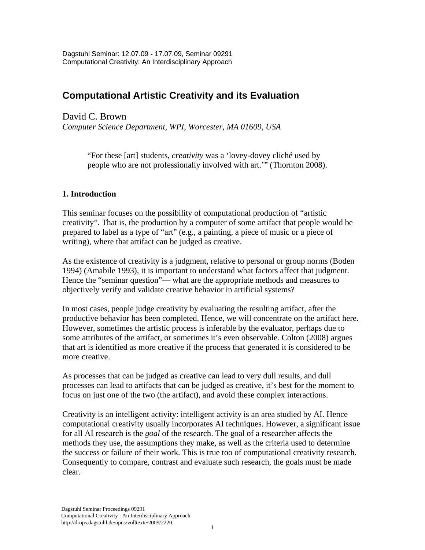# **Computational Artistic Creativity and its Evaluation**

David C. Brown

*Computer Science Department, WPI, Worcester, MA 01609, USA* 

"For these [art] students, *creativity* was a 'lovey-dovey cliché used by people who are not professionally involved with art.'" (Thornton 2008).

## **1. Introduction**

This seminar focuses on the possibility of computational production of "artistic creativity". That is, the production by a computer of some artifact that people would be prepared to label as a type of "art" (e.g., a painting, a piece of music or a piece of writing), where that artifact can be judged as creative.

As the existence of creativity is a judgment, relative to personal or group norms (Boden 1994) (Amabile 1993), it is important to understand what factors affect that judgment. Hence the "seminar question"— what are the appropriate methods and measures to objectively verify and validate creative behavior in artificial systems?

In most cases, people judge creativity by evaluating the resulting artifact, after the productive behavior has been completed. Hence, we will concentrate on the artifact here. However, sometimes the artistic process is inferable by the evaluator, perhaps due to some attributes of the artifact, or sometimes it's even observable. Colton (2008) argues that art is identified as more creative if the process that generated it is considered to be more creative.

As processes that can be judged as creative can lead to very dull results, and dull processes can lead to artifacts that can be judged as creative, it's best for the moment to focus on just one of the two (the artifact), and avoid these complex interactions.

Creativity is an intelligent activity: intelligent activity is an area studied by AI. Hence computational creativity usually incorporates AI techniques. However, a significant issue for all AI research is the *goal* of the research. The goal of a researcher affects the methods they use, the assumptions they make, as well as the criteria used to determine the success or failure of their work. This is true too of computational creativity research. Consequently to compare, contrast and evaluate such research, the goals must be made clear.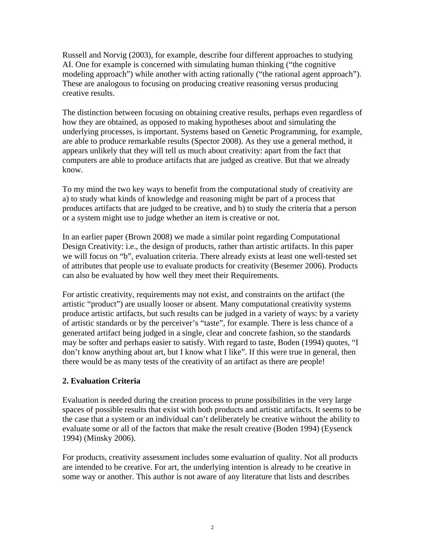Russell and Norvig (2003), for example, describe four different approaches to studying AI. One for example is concerned with simulating human thinking ("the cognitive modeling approach") while another with acting rationally ("the rational agent approach"). These are analogous to focusing on producing creative reasoning versus producing creative results.

The distinction between focusing on obtaining creative results, perhaps even regardless of how they are obtained, as opposed to making hypotheses about and simulating the underlying processes, is important. Systems based on Genetic Programming, for example, are able to produce remarkable results (Spector 2008). As they use a general method, it appears unlikely that they will tell us much about creativity: apart from the fact that computers are able to produce artifacts that are judged as creative. But that we already know.

To my mind the two key ways to benefit from the computational study of creativity are a) to study what kinds of knowledge and reasoning might be part of a process that produces artifacts that are judged to be creative, and b) to study the criteria that a person or a system might use to judge whether an item is creative or not.

In an earlier paper (Brown 2008) we made a similar point regarding Computational Design Creativity: i.e., the design of products, rather than artistic artifacts. In this paper we will focus on "b", evaluation criteria. There already exists at least one well-tested set of attributes that people use to evaluate products for creativity (Besemer 2006). Products can also be evaluated by how well they meet their Requirements.

For artistic creativity, requirements may not exist, and constraints on the artifact (the artistic "product") are usually looser or absent. Many computational creativity systems produce artistic artifacts, but such results can be judged in a variety of ways: by a variety of artistic standards or by the perceiver's "taste", for example. There is less chance of a generated artifact being judged in a single, clear and concrete fashion, so the standards may be softer and perhaps easier to satisfy. With regard to taste, Boden (1994) quotes, "I don't know anything about art, but I know what I like". If this were true in general, then there would be as many tests of the creativity of an artifact as there are people!

## **2. Evaluation Criteria**

Evaluation is needed during the creation process to prune possibilities in the very large spaces of possible results that exist with both products and artistic artifacts. It seems to be the case that a system or an individual can't deliberately be creative without the ability to evaluate some or all of the factors that make the result creative (Boden 1994) (Eysenck 1994) (Minsky 2006).

For products, creativity assessment includes some evaluation of quality. Not all products are intended to be creative. For art, the underlying intention is already to be creative in some way or another. This author is not aware of any literature that lists and describes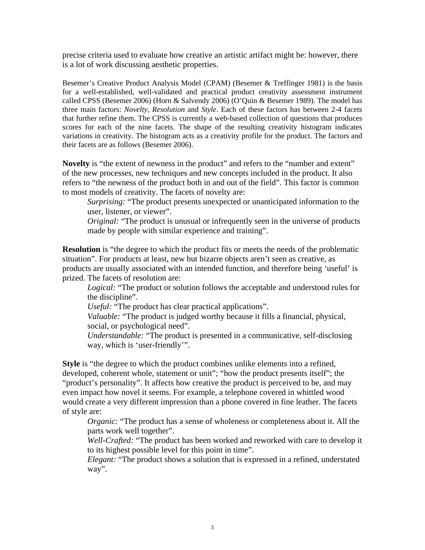precise criteria used to evaluate how creative an artistic artifact might be: however, there is a lot of work discussing aesthetic properties.

Besemer's Creative Product Analysis Model (CPAM) (Besemer & Treffinger 1981) is the basis for a well-established, well-validated and practical product creativity assessment instrument called CPSS (Besemer 2006) (Horn & Salvendy 2006) (O'Quin & Besemer 1989). The model has three main factors: *Novelty*, *Resolution* and *Style*. Each of these factors has between 2-4 facets that further refine them. The CPSS is currently a web-based collection of questions that produces scores for each of the nine facets. The shape of the resulting creativity histogram indicates variations in creativity. The histogram acts as a creativity profile for the product. The factors and their facets are as follows (Besemer 2006).

**Novelty** is "the extent of newness in the product" and refers to the "number and extent" of the new processes, new techniques and new concepts included in the product. It also refers to "the newness of the product both in and out of the field". This factor is common to most models of creativity. The facets of novelty are:

*Surprising:* "The product presents unexpected or unanticipated information to the user, listener, or viewer".

*Original:* "The product is unusual or infrequently seen in the universe of products made by people with similar experience and training".

**Resolution** is "the degree to which the product fits or meets the needs of the problematic situation". For products at least, new but bizarre objects aren't seen as creative, as products are usually associated with an intended function, and therefore being 'useful' is prized. The facets of resolution are:

*Logical:* "The product or solution follows the acceptable and understood rules for the discipline".

*Useful:* "The product has clear practical applications".

*Valuable:* "The product is judged worthy because it fills a financial, physical, social, or psychological need".

*Understandable:* "The product is presented in a communicative, self-disclosing way, which is 'user-friendly'".

**Style** is "the degree to which the product combines unlike elements into a refined, developed, coherent whole, statement or unit"; "how the product presents itself"; the "product's personality". It affects how creative the product is perceived to be, and may even impact how novel it seems. For example, a telephone covered in whittled wood would create a very different impression than a phone covered in fine leather. The facets of style are:

*Organic:* "The product has a sense of wholeness or completeness about it. All the parts work well together".

*Well-Crafted:* "The product has been worked and reworked with care to develop it to its highest possible level for this point in time".

*Elegant:* "The product shows a solution that is expressed in a refined, understated way".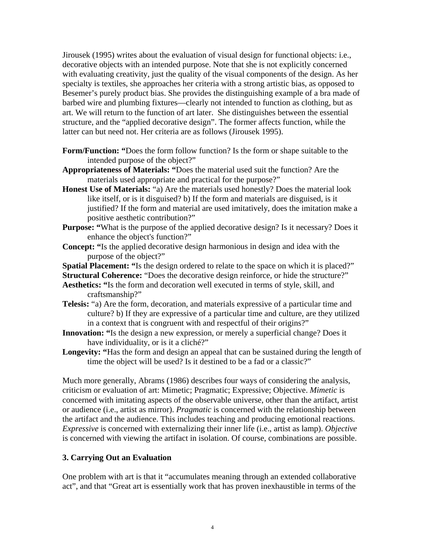Jirousek (1995) writes about the evaluation of visual design for functional objects: i.e., decorative objects with an intended purpose. Note that she is not explicitly concerned with evaluating creativity, just the quality of the visual components of the design. As her specialty is textiles, she approaches her criteria with a strong artistic bias, as opposed to Besemer's purely product bias. She provides the distinguishing example of a bra made of barbed wire and plumbing fixtures—clearly not intended to function as clothing, but as art. We will return to the function of art later. She distinguishes between the essential structure, and the "applied decorative design". The former affects function, while the latter can but need not. Her criteria are as follows (Jirousek 1995).

- **Form/Function: "**Does the form follow function? Is the form or shape suitable to the intended purpose of the object?"
- **Appropriateness of Materials: "**Does the material used suit the function? Are the materials used appropriate and practical for the purpose?"
- **Honest Use of Materials:** "a) Are the materials used honestly? Does the material look like itself, or is it disguised? b) If the form and materials are disguised, is it justified? If the form and material are used imitatively, does the imitation make a positive aesthetic contribution?"
- **Purpose: "**What is the purpose of the applied decorative design? Is it necessary? Does it enhance the object's function?"
- **Concept: "**Is the applied decorative design harmonious in design and idea with the purpose of the object?"
- **Spatial Placement: "**Is the design ordered to relate to the space on which it is placed?"

**Structural Coherence:** "Does the decorative design reinforce, or hide the structure?"

- **Aesthetics: "**Is the form and decoration well executed in terms of style, skill, and craftsmanship?"
- **Telesis:** "a) Are the form, decoration, and materials expressive of a particular time and culture? b) If they are expressive of a particular time and culture, are they utilized in a context that is congruent with and respectful of their origins?"
- **Innovation:** "Is the design a new expression, or merely a superficial change? Does it have individuality, or is it a cliché?"
- **Longevity: "**Has the form and design an appeal that can be sustained during the length of time the object will be used? Is it destined to be a fad or a classic?"

Much more generally, Abrams (1986) describes four ways of considering the analysis, criticism or evaluation of art: Mimetic; Pragmatic; Expressive; Objective. *Mimetic* is concerned with imitating aspects of the observable universe, other than the artifact, artist or audience (i.e., artist as mirror). *Pragmatic* is concerned with the relationship between the artifact and the audience. This includes teaching and producing emotional reactions. *Expressive* is concerned with externalizing their inner life (i.e., artist as lamp). *Objective* is concerned with viewing the artifact in isolation. Of course, combinations are possible.

## **3. Carrying Out an Evaluation**

One problem with art is that it "accumulates meaning through an extended collaborative act", and that "Great art is essentially work that has proven inexhaustible in terms of the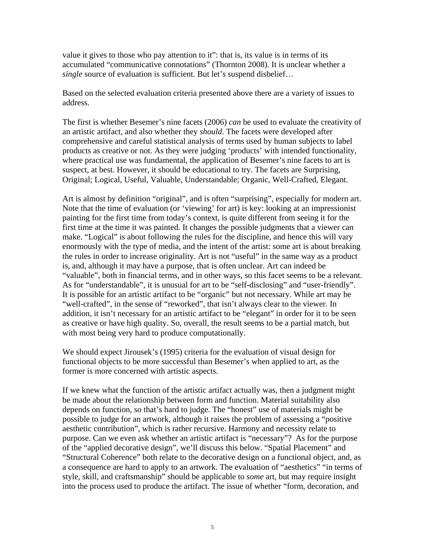value it gives to those who pay attention to it": that is, its value is in terms of its accumulated "communicative connotations" (Thornton 2008). It is unclear whether a *single* source of evaluation is sufficient. But let's suspend disbelief...

Based on the selected evaluation criteria presented above there are a variety of issues to address.

The first is whether Besemer's nine facets (2006) *can* be used to evaluate the creativity of an artistic artifact, and also whether they *should*. The facets were developed after comprehensive and careful statistical analysis of terms used by human subjects to label products as creative or not. As they were judging 'products' with intended functionality, where practical use was fundamental, the application of Besemer's nine facets to art is suspect, at best. However, it should be educational to try. The facets are Surprising, Original; Logical, Useful, Valuable, Understandable; Organic, Well-Crafted, Elegant.

Art is almost by definition "original", and is often "surprising", especially for modern art. Note that the time of evaluation (or 'viewing' for art) is key: looking at an impressionist painting for the first time from today's context, is quite different from seeing it for the first time at the time it was painted. It changes the possible judgments that a viewer can make. "Logical" is about following the rules for the discipline, and hence this will vary enormously with the type of media, and the intent of the artist: some art is about breaking the rules in order to increase originality. Art is not "useful" in the same way as a product is, and, although it may have a purpose, that is often unclear. Art can indeed be "valuable", both in financial terms, and in other ways, so this facet seems to be a relevant. As for "understandable", it is unusual for art to be "self-disclosing" and "user-friendly". It is possible for an artistic artifact to be "organic" but not necessary. While art may be "well-crafted", in the sense of "reworked", that isn't always clear to the viewer. In addition, it isn't necessary for an artistic artifact to be "elegant" in order for it to be seen as creative or have high quality. So, overall, the result seems to be a partial match, but with most being very hard to produce computationally.

We should expect Jirousek's (1995) criteria for the evaluation of visual design for functional objects to be more successful than Besemer's when applied to art, as the former is more concerned with artistic aspects.

If we knew what the function of the artistic artifact actually was, then a judgment might be made about the relationship between form and function. Material suitability also depends on function, so that's hard to judge. The "honest" use of materials might be possible to judge for an artwork, although it raises the problem of assessing a "positive aesthetic contribution", which is rather recursive. Harmony and necessity relate to purpose. Can we even ask whether an artistic artifact is "necessary"? As for the purpose of the "applied decorative design", we'll discuss this below. "Spatial Placement" and "Structural Coherence" both relate to the decorative design on a functional object, and, as a consequence are hard to apply to an artwork. The evaluation of "aesthetics" "in terms of style, skill, and craftsmanship" should be applicable to *some* art, but may require insight into the process used to produce the artifact. The issue of whether "form, decoration, and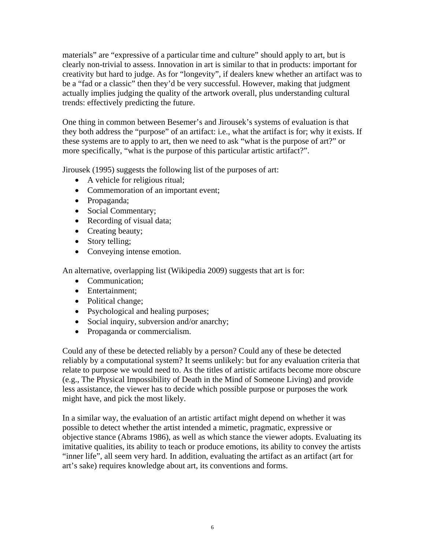materials" are "expressive of a particular time and culture" should apply to art, but is clearly non-trivial to assess. Innovation in art is similar to that in products: important for creativity but hard to judge. As for "longevity", if dealers knew whether an artifact was to be a "fad or a classic" then they'd be very successful. However, making that judgment actually implies judging the quality of the artwork overall, plus understanding cultural trends: effectively predicting the future.

One thing in common between Besemer's and Jirousek's systems of evaluation is that they both address the "purpose" of an artifact: i.e., what the artifact is for; why it exists. If these systems are to apply to art, then we need to ask "what is the purpose of art?" or more specifically, "what is the purpose of this particular artistic artifact?".

Jirousek (1995) suggests the following list of the purposes of art:

- A vehicle for religious ritual;
- Commemoration of an important event;
- Propaganda;
- Social Commentary;
- Recording of visual data;
- Creating beauty;
- Story telling;
- Conveying intense emotion.

An alternative, overlapping list (Wikipedia 2009) suggests that art is for:

- Communication:
- Entertainment:
- Political change;
- Psychological and healing purposes;
- Social inquiry, subversion and/or anarchy;
- Propaganda or commercialism.

Could any of these be detected reliably by a person? Could any of these be detected reliably by a computational system? It seems unlikely: but for any evaluation criteria that relate to purpose we would need to. As the titles of artistic artifacts become more obscure (e.g., The Physical Impossibility of Death in the Mind of Someone Living) and provide less assistance, the viewer has to decide which possible purpose or purposes the work might have, and pick the most likely.

In a similar way, the evaluation of an artistic artifact might depend on whether it was possible to detect whether the artist intended a mimetic, pragmatic, expressive or objective stance (Abrams 1986), as well as which stance the viewer adopts. Evaluating its imitative qualities, its ability to teach or produce emotions, its ability to convey the artists "inner life", all seem very hard. In addition, evaluating the artifact as an artifact (art for art's sake) requires knowledge about art, its conventions and forms.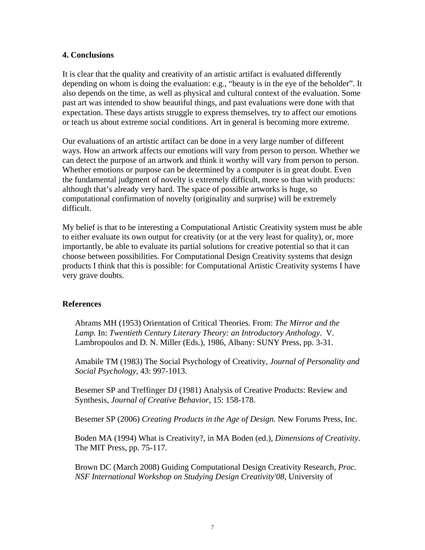#### **4. Conclusions**

It is clear that the quality and creativity of an artistic artifact is evaluated differently depending on whom is doing the evaluation: e.g., "beauty is in the eye of the beholder". It also depends on the time, as well as physical and cultural context of the evaluation. Some past art was intended to show beautiful things, and past evaluations were done with that expectation. These days artists struggle to express themselves, try to affect our emotions or teach us about extreme social conditions. Art in general is becoming more extreme.

Our evaluations of an artistic artifact can be done in a very large number of different ways. How an artwork affects our emotions will vary from person to person. Whether we can detect the purpose of an artwork and think it worthy will vary from person to person. Whether emotions or purpose can be determined by a computer is in great doubt. Even the fundamental judgment of novelty is extremely difficult, more so than with products: although that's already very hard. The space of possible artworks is huge, so computational confirmation of novelty (originality and surprise) will be extremely difficult.

My belief is that to be interesting a Computational Artistic Creativity system must be able to either evaluate its own output for creativity (or at the very least for quality), or, more importantly, be able to evaluate its partial solutions for creative potential so that it can choose between possibilities. For Computational Design Creativity systems that design products I think that this is possible: for Computational Artistic Creativity systems I have very grave doubts.

#### **References**

Abrams MH (1953) Orientation of Critical Theories. From: *The Mirror and the Lamp.* In: *Twentieth Century Literary Theory: an Introductory Anthology*. V. Lambropoulos and D. N. Miller (Eds.), 1986, Albany: SUNY Press, pp. 3-31.

Amabile TM (1983) The Social Psychology of Creativity, *Journal of Personality and Social Psychology,* 43: 997-1013.

Besemer SP and Treffinger DJ (1981) Analysis of Creative Products: Review and Synthesis, *Journal of Creative Behavior,* 15: 158-178.

Besemer SP (2006) *Creating Products in the Age of Design*. New Forums Press, Inc.

Boden MA (1994) What is Creativity?, in MA Boden (ed.), *Dimensions of Creativity*. The MIT Press, pp. 75-117.

Brown DC (March 2008) Guiding Computational Design Creativity Research, *Proc. NSF International Workshop on Studying Design Creativity'08*, University of